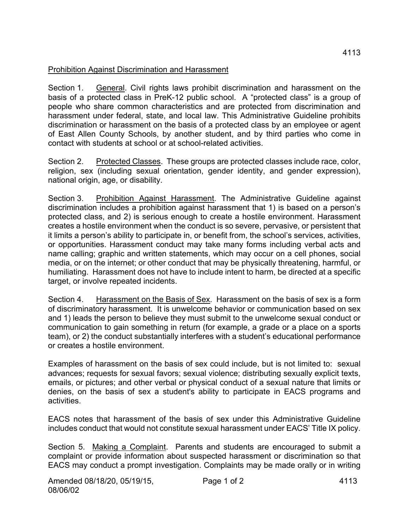## Prohibition Against Discrimination and Harassment

Section 1. General. Civil rights laws prohibit discrimination and harassment on the basis of a protected class in PreK-12 public school. A "protected class" is a group of people who share common characteristics and are protected from discrimination and harassment under federal, state, and local law. This Administrative Guideline prohibits discrimination or harassment on the basis of a protected class by an employee or agent of East Allen County Schools, by another student, and by third parties who come in contact with students at school or at school-related activities.

Section 2. Protected Classes. These groups are protected classes include race, color, religion, sex (including sexual orientation, gender identity, and gender expression), national origin, age, or disability.

Section 3. Prohibition Against Harassment. The Administrative Guideline against discrimination includes a prohibition against harassment that 1) is based on a person's protected class, and 2) is serious enough to create a hostile environment. Harassment creates a hostile environment when the conduct is so severe, pervasive, or persistent that it limits a person's ability to participate in, or benefit from, the school's services, activities, or opportunities. Harassment conduct may take many forms including verbal acts and name calling; graphic and written statements, which may occur on a cell phones, social media, or on the internet; or other conduct that may be physically threatening, harmful, or humiliating. Harassment does not have to include intent to harm, be directed at a specific target, or involve repeated incidents.

Section 4. Harassment on the Basis of Sex. Harassment on the basis of sex is a form of discriminatory harassment. It is unwelcome behavior or communication based on sex and 1) leads the person to believe they must submit to the unwelcome sexual conduct or communication to gain something in return (for example, a grade or a place on a sports team), or 2) the conduct substantially interferes with a student's educational performance or creates a hostile environment.

Examples of harassment on the basis of sex could include, but is not limited to: sexual advances; requests for sexual favors; sexual violence; distributing sexually explicit texts, emails, or pictures; and other verbal or physical conduct of a sexual nature that limits or denies, on the basis of sex a student's ability to participate in EACS programs and activities.

EACS notes that harassment of the basis of sex under this Administrative Guideline includes conduct that would not constitute sexual harassment under EACS' Title IX policy.

Section 5. Making a Complaint. Parents and students are encouraged to submit a complaint or provide information about suspected harassment or discrimination so that EACS may conduct a prompt investigation. Complaints may be made orally or in writing